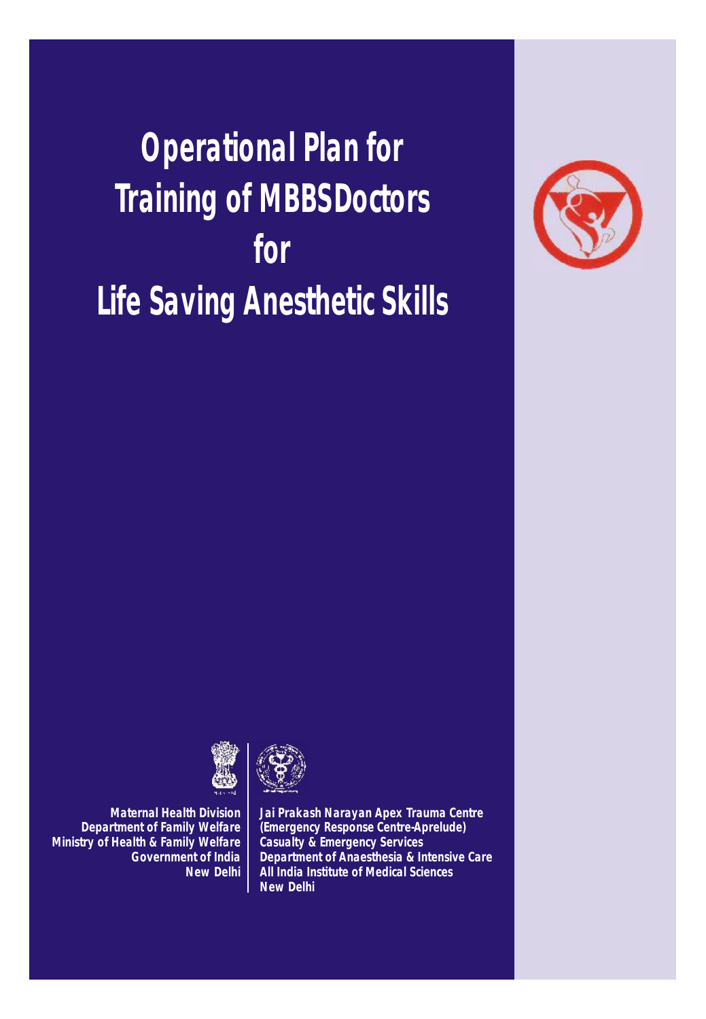*Operational Plan for Training of MBBSDoctors for Life Saving Anesthetic Skills*





*Maternal Health Division Department of Family Welfare Ministry of Health & Family Welfare Government of India New Delhi*



*Jai Prakash Narayan Apex Trauma Centre (Emergency Response Centre-Aprelude) Casualty & Emergency Services Department of Anaesthesia & Intensive Care All India Institute of Medical Sciences New Delhi*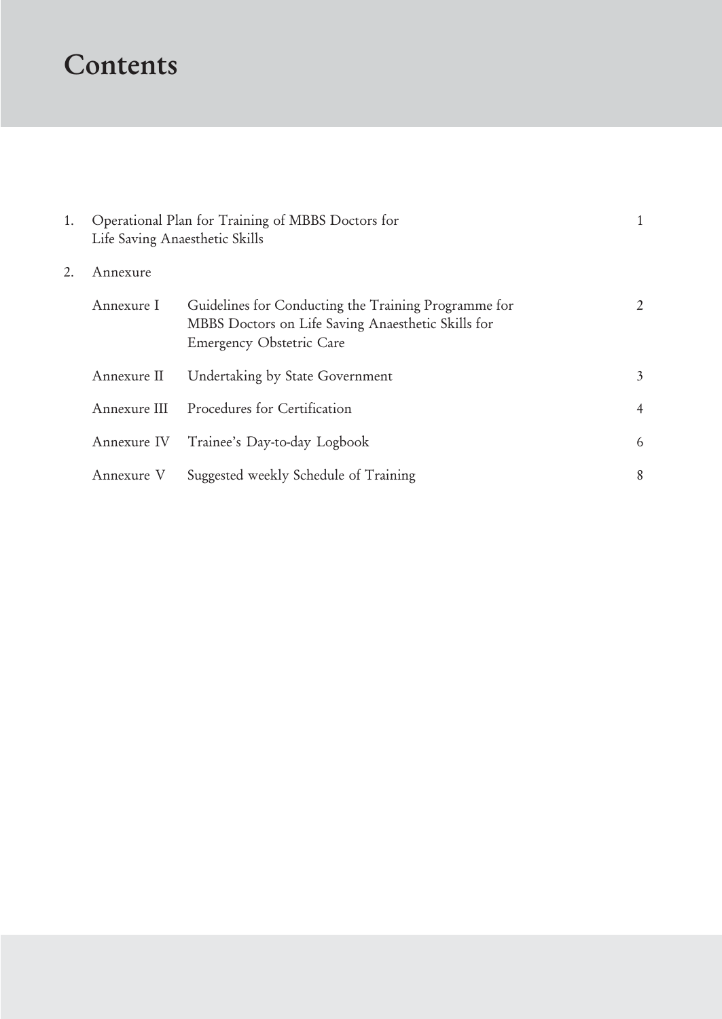# Contents

| 1. | Life Saving Anaesthetic Skills | Operational Plan for Training of MBBS Doctors for                                                                                      |                |
|----|--------------------------------|----------------------------------------------------------------------------------------------------------------------------------------|----------------|
| 2. | Annexure                       |                                                                                                                                        |                |
|    | Annexure I                     | Guidelines for Conducting the Training Programme for<br>MBBS Doctors on Life Saving Anaesthetic Skills for<br>Emergency Obstetric Care | $\overline{2}$ |
|    | Annexure II                    | Undertaking by State Government                                                                                                        | $\mathfrak{Z}$ |
|    |                                | Annexure III Procedures for Certification                                                                                              | $\overline{4}$ |
|    |                                | Annexure IV Trainee's Day-to-day Logbook                                                                                               | 6              |
|    | Annexure V                     | Suggested weekly Schedule of Training                                                                                                  | 8              |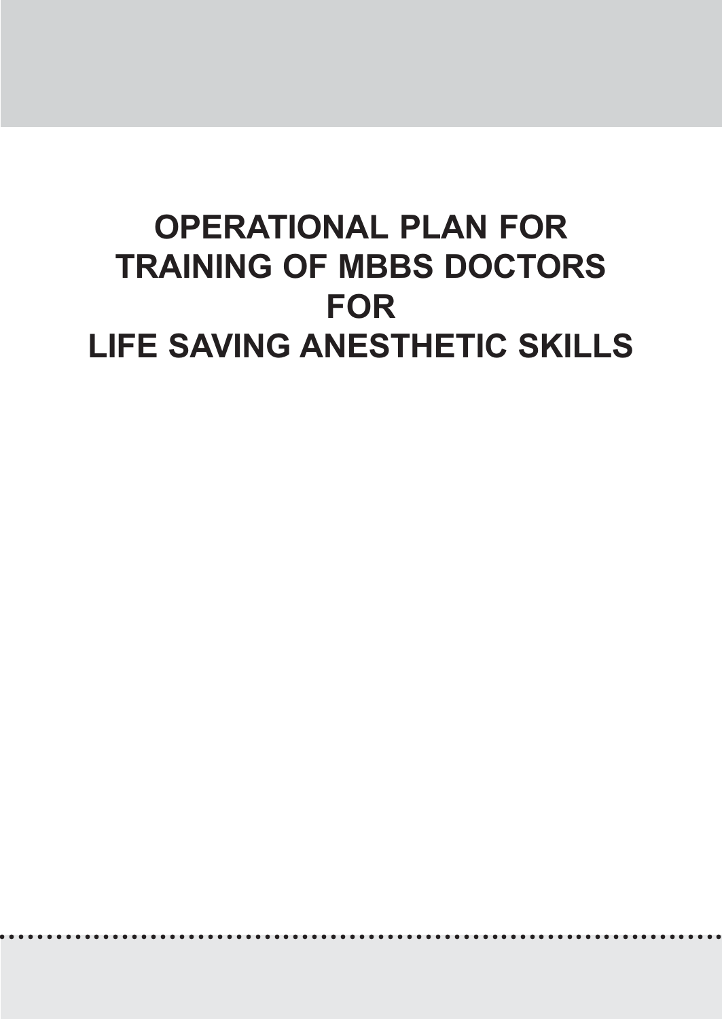# OPERATIONAL PLAN FOR TRAINING OF MBBS DOCTORS FOR LIFE SAVING ANESTHETIC SKILLS

○○○○○○○○○○○○○○○○○○○○○○○○○○○○○○○○○○○○○○○○○○○○○○○○○○○ ○○○○○○○○○○○○○○○○○○○○○○○○○○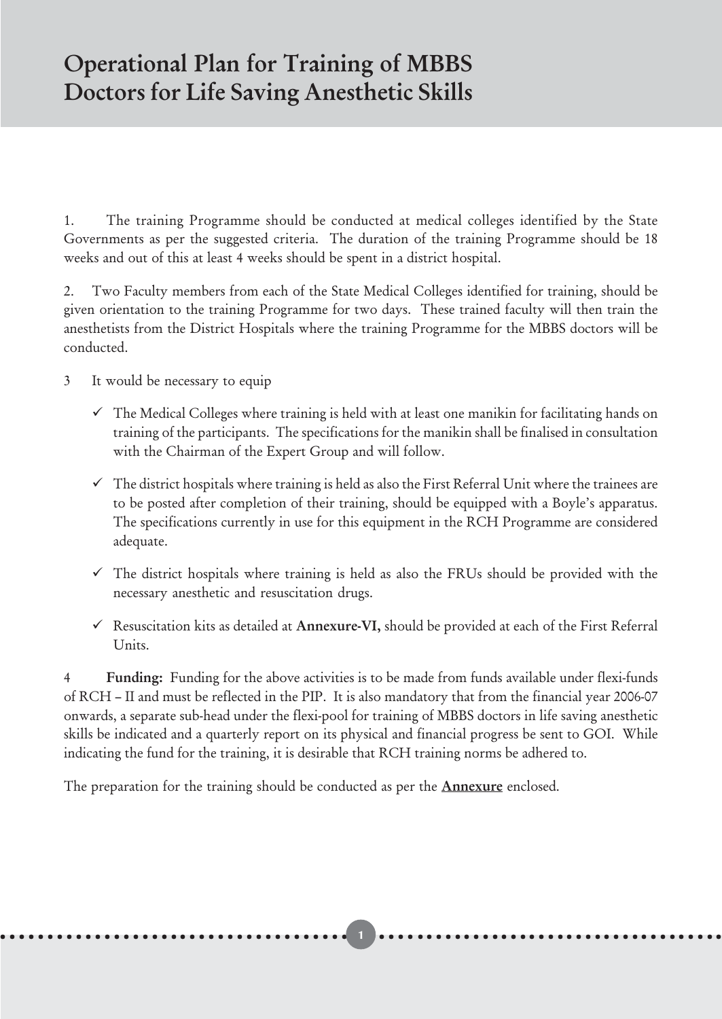## Operational Plan for Training of MBBS Doctors for Life Saving Anesthetic Skills

1. The training Programme should be conducted at medical colleges identified by the State Governments as per the suggested criteria. The duration of the training Programme should be 18 weeks and out of this at least 4 weeks should be spent in a district hospital.

2. Two Faculty members from each of the State Medical Colleges identified for training, should be given orientation to the training Programme for two days. These trained faculty will then train the anesthetists from the District Hospitals where the training Programme for the MBBS doctors will be conducted.

- 3 It would be necessary to equip
	- $\checkmark$  The Medical Colleges where training is held with at least one manikin for facilitating hands on training of the participants. The specifications for the manikin shall be finalised in consultation with the Chairman of the Expert Group and will follow.
	- $\checkmark$  The district hospitals where training is held as also the First Referral Unit where the trainees are to be posted after completion of their training, should be equipped with a Boyle's apparatus. The specifications currently in use for this equipment in the RCH Programme are considered adequate.
	- $\checkmark$  The district hospitals where training is held as also the FRUs should be provided with the necessary anesthetic and resuscitation drugs.
	- $\checkmark$  Resuscitation kits as detailed at Annexure-VI, should be provided at each of the First Referral Units.

4 Funding: Funding for the above activities is to be made from funds available under flexi-funds of RCH – II and must be reflected in the PIP. It is also mandatory that from the financial year 2006-07 onwards, a separate sub-head under the flexi-pool for training of MBBS doctors in life saving anesthetic skills be indicated and a quarterly report on its physical and financial progress be sent to GOI. While indicating the fund for the training, it is desirable that RCH training norms be adhered to.

○○○○○○○○○○○○○○○○○○○○○○○○○○○○○○○○○○○○○○○○○○○○ 1 ○○○○○○○○○○○○○○○○○○○○○○○○○○○○○○○○○

The preparation for the training should be conducted as per the **Annexure** enclosed.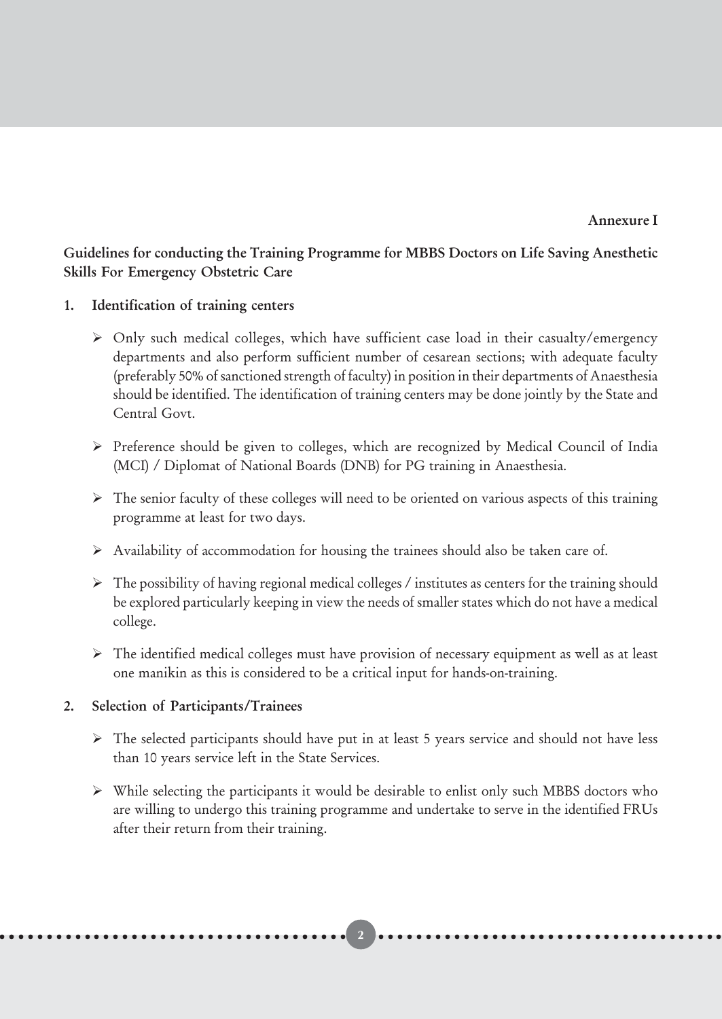Annexure I

#### Guidelines for conducting the Training Programme for MBBS Doctors on Life Saving Anesthetic Skills For Emergency Obstetric Care

- 1. Identification of training centers
	- > Only such medical colleges, which have sufficient case load in their casualty/emergency departments and also perform sufficient number of cesarean sections; with adequate faculty (preferably 50% of sanctioned strength of faculty) in position in their departments of Anaesthesia should be identified. The identification of training centers may be done jointly by the State and Central Govt.
	- > Preference should be given to colleges, which are recognized by Medical Council of India (MCI) / Diplomat of National Boards (DNB) for PG training in Anaesthesia.
	- > The senior faculty of these colleges will need to be oriented on various aspects of this training programme at least for two days.
	- > Availability of accommodation for housing the trainees should also be taken care of.
	- > The possibility of having regional medical colleges / institutes as centers for the training should be explored particularly keeping in view the needs of smaller states which do not have a medical college.
	- > The identified medical colleges must have provision of necessary equipment as well as at least one manikin as this is considered to be a critical input for hands-on-training.

#### 2. Selection of Participants/Trainees

- > The selected participants should have put in at least 5 years service and should not have less than 10 years service left in the State Services.
- > While selecting the participants it would be desirable to enlist only such MBBS doctors who are willing to undergo this training programme and undertake to serve in the identified FRUs after their return from their training.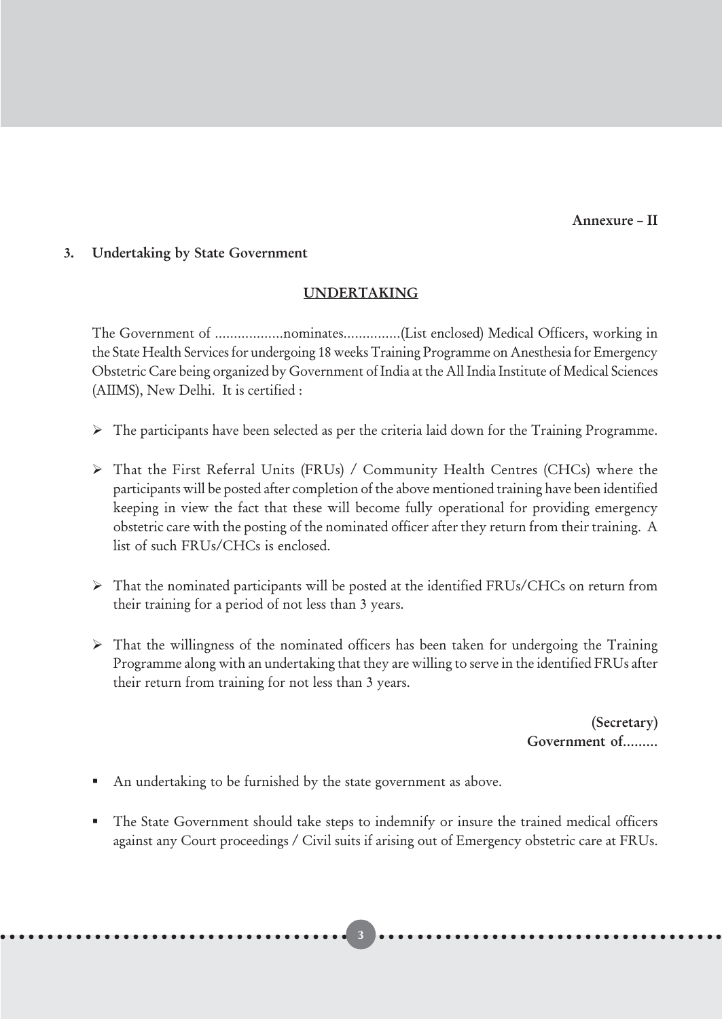Annexure – II

#### 3. Undertaking by State Government

#### UNDERTAKING

The Government of ………………nominates……………(List enclosed) Medical Officers, working in the State Health Services for undergoing 18 weeks Training Programme on Anesthesia for Emergency Obstetric Care being organized by Government of India at the All India Institute of Medical Sciences (AIIMS), New Delhi. It is certified :

- > The participants have been selected as per the criteria laid down for the Training Programme.
- > That the First Referral Units (FRUs) / Community Health Centres (CHCs) where the participants will be posted after completion of the above mentioned training have been identified keeping in view the fact that these will become fully operational for providing emergency obstetric care with the posting of the nominated officer after they return from their training. A list of such FRUs/CHCs is enclosed.
- > That the nominated participants will be posted at the identified FRUs/CHCs on return from their training for a period of not less than 3 years.
- > That the willingness of the nominated officers has been taken for undergoing the Training Programme along with an undertaking that they are willing to serve in the identified FRUs after their return from training for not less than 3 years.

(Secretary) Government of………

- An undertaking to be furnished by the state government as above.
- The State Government should take steps to indemnify or insure the trained medical officers against any Court proceedings / Civil suits if arising out of Emergency obstetric care at FRUs.

○○○○○○○○○○○○○○○○○○○○○○○○○○○○○○○○○○○○○○○○○○○○ 3 ○○○○○○○○○○○○○○○○○○○○○○○○○○○○○○○○○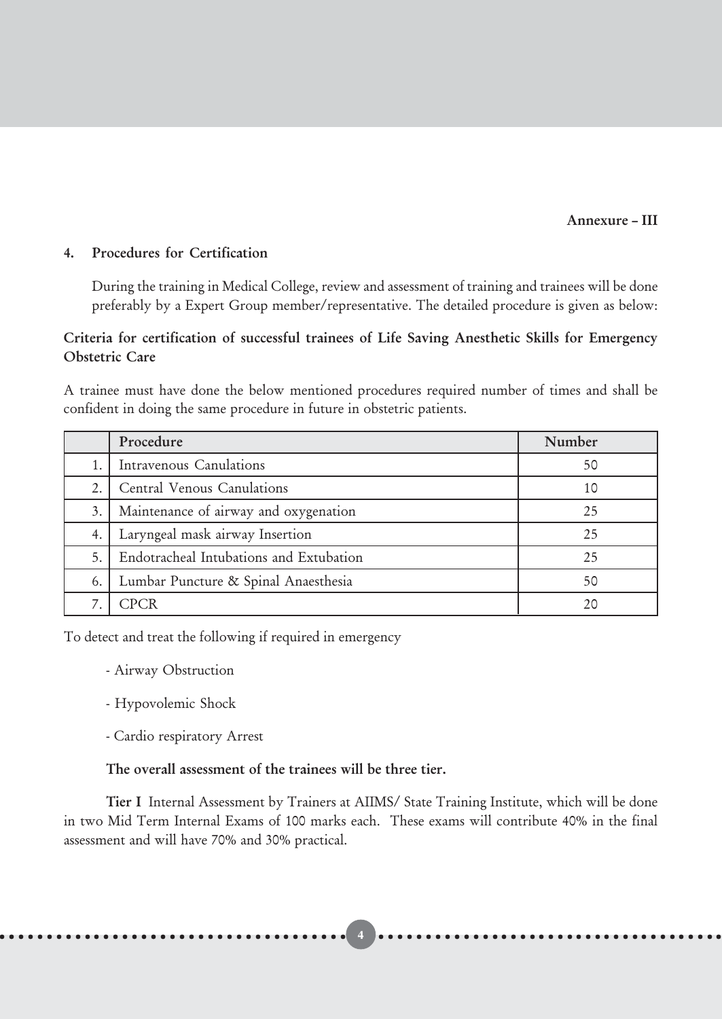#### Annexure – III

#### 4. Procedures for Certification

During the training in Medical College, review and assessment of training and trainees will be done preferably by a Expert Group member/representative. The detailed procedure is given as below:

#### Criteria for certification of successful trainees of Life Saving Anesthetic Skills for Emergency Obstetric Care

A trainee must have done the below mentioned procedures required number of times and shall be confident in doing the same procedure in future in obstetric patients.

|    | Procedure                               | Number |
|----|-----------------------------------------|--------|
|    | Intravenous Canulations                 | 50     |
| 2. | Central Venous Canulations              | 10     |
| 3. | Maintenance of airway and oxygenation   | 25     |
| 4. | Laryngeal mask airway Insertion         | 25     |
| 5. | Endotracheal Intubations and Extubation | 25     |
| 6. | Lumbar Puncture & Spinal Anaesthesia    | 50     |
|    | <b>CPCR</b>                             | 20     |

To detect and treat the following if required in emergency

- Airway Obstruction
- Hypovolemic Shock
- Cardio respiratory Arrest

#### The overall assessment of the trainees will be three tier.

Tier I Internal Assessment by Trainers at AIIMS/ State Training Institute, which will be done in two Mid Term Internal Exams of 100 marks each. These exams will contribute 40% in the final assessment and will have 70% and 30% practical.

○○○○○○○○○○○○○○○○○○○○○○○○○○○○○○○○○○○○○○○○○○○○○○○○○○○ 4 ○○○○○○○○○○○○○○○○○○○○○○○○○○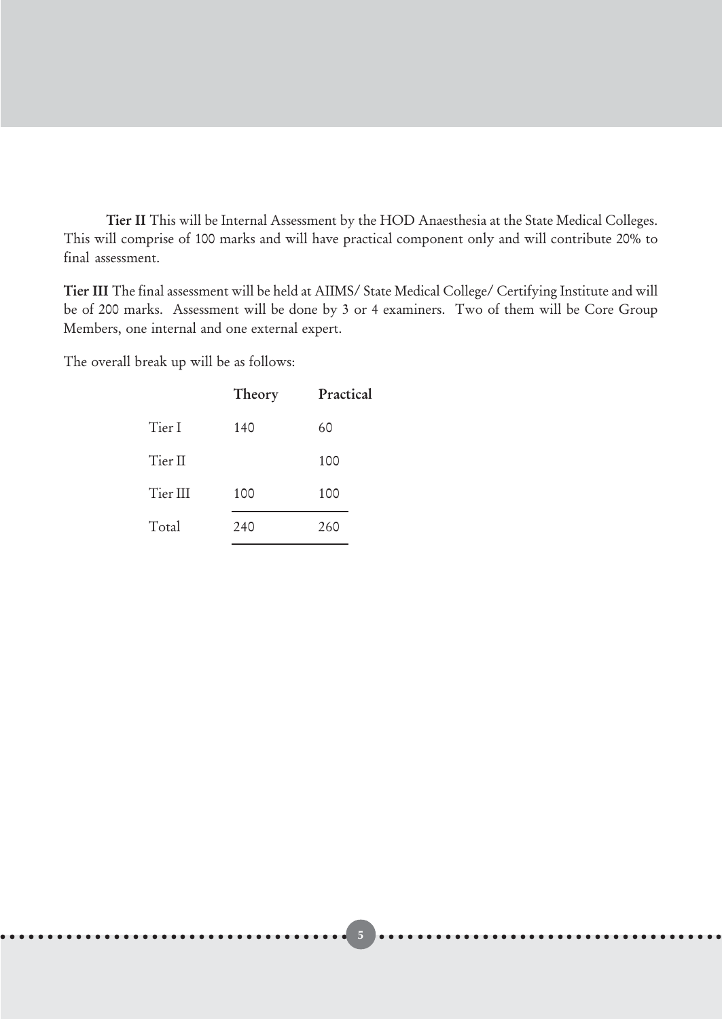Tier II This will be Internal Assessment by the HOD Anaesthesia at the State Medical Colleges. This will comprise of 100 marks and will have practical component only and will contribute 20% to final assessment.

Tier III The final assessment will be held at AIIMS/ State Medical College/ Certifying Institute and will be of 200 marks. Assessment will be done by 3 or 4 examiners. Two of them will be Core Group Members, one internal and one external expert.

The overall break up will be as follows:

|          | Theory | Practical |
|----------|--------|-----------|
| Tier I   | 140    | 60        |
| Tier II  |        | 100       |
| Tier III | 100    | 100       |
| Total    | 240    | 260       |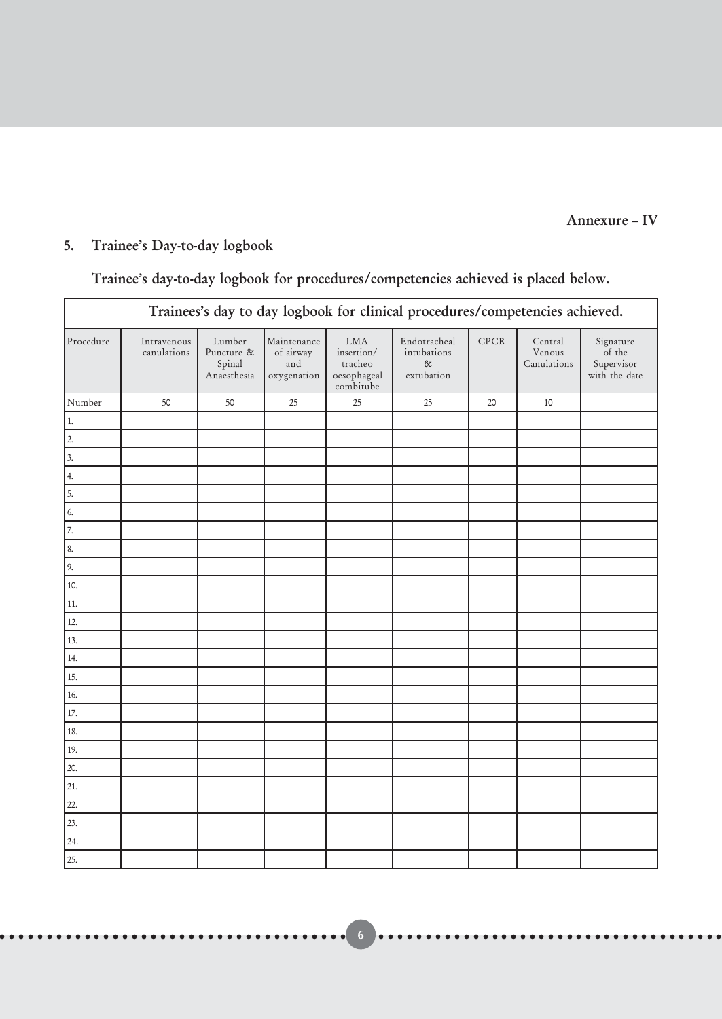#### Annexure – IV

## 5. Trainee's Day-to-day logbook

### Trainee's day-to-day logbook for procedures/competencies achieved is placed below.

| Trainees's day to day logbook for clinical procedures/competencies achieved.            |                            |                                               |                                                |                                                                 |                                                   |             |                                  |                                                    |
|-----------------------------------------------------------------------------------------|----------------------------|-----------------------------------------------|------------------------------------------------|-----------------------------------------------------------------|---------------------------------------------------|-------------|----------------------------------|----------------------------------------------------|
| Procedure                                                                               | Intravenous<br>canulations | Lumber<br>Puncture &<br>Spinal<br>Anaesthesia | Maintenance<br>of airway<br>and<br>oxygenation | <b>LMA</b><br>insertion/<br>tracheo<br>oesophageal<br>combitube | Endotracheal<br>intubations<br>$\&$<br>extubation | <b>CPCR</b> | Central<br>Venous<br>Canulations | Signature<br>of the<br>Supervisor<br>with the date |
| Number                                                                                  | 50                         | 50                                            | $25\,$                                         | $25\,$                                                          | 25                                                | 20          | 10                               |                                                    |
|                                                                                         |                            |                                               |                                                |                                                                 |                                                   |             |                                  |                                                    |
|                                                                                         |                            |                                               |                                                |                                                                 |                                                   |             |                                  |                                                    |
|                                                                                         |                            |                                               |                                                |                                                                 |                                                   |             |                                  |                                                    |
| $\begin{array}{c c c c c} 1 & 2 & 3 & 4 & 5 & 6 & 7 & 8 & 9 & 10 \\ \hline \end{array}$ |                            |                                               |                                                |                                                                 |                                                   |             |                                  |                                                    |
|                                                                                         |                            |                                               |                                                |                                                                 |                                                   |             |                                  |                                                    |
|                                                                                         |                            |                                               |                                                |                                                                 |                                                   |             |                                  |                                                    |
|                                                                                         |                            |                                               |                                                |                                                                 |                                                   |             |                                  |                                                    |
|                                                                                         |                            |                                               |                                                |                                                                 |                                                   |             |                                  |                                                    |
|                                                                                         |                            |                                               |                                                |                                                                 |                                                   |             |                                  |                                                    |
|                                                                                         |                            |                                               |                                                |                                                                 |                                                   |             |                                  |                                                    |
| $\boxed{11}$                                                                            |                            |                                               |                                                |                                                                 |                                                   |             |                                  |                                                    |
| $\overline{12}$                                                                         |                            |                                               |                                                |                                                                 |                                                   |             |                                  |                                                    |
| 13.                                                                                     |                            |                                               |                                                |                                                                 |                                                   |             |                                  |                                                    |
| $\overline{14.}$                                                                        |                            |                                               |                                                |                                                                 |                                                   |             |                                  |                                                    |
| 15.                                                                                     |                            |                                               |                                                |                                                                 |                                                   |             |                                  |                                                    |
| 16.                                                                                     |                            |                                               |                                                |                                                                 |                                                   |             |                                  |                                                    |
| 17.                                                                                     |                            |                                               |                                                |                                                                 |                                                   |             |                                  |                                                    |
| 18.                                                                                     |                            |                                               |                                                |                                                                 |                                                   |             |                                  |                                                    |
| 19.                                                                                     |                            |                                               |                                                |                                                                 |                                                   |             |                                  |                                                    |
| 20.                                                                                     |                            |                                               |                                                |                                                                 |                                                   |             |                                  |                                                    |
| $\frac{21}{22}$                                                                         |                            |                                               |                                                |                                                                 |                                                   |             |                                  |                                                    |
|                                                                                         |                            |                                               |                                                |                                                                 |                                                   |             |                                  |                                                    |
| $\overline{\left  \frac{23}{23.}\right }$                                               |                            |                                               |                                                |                                                                 |                                                   |             |                                  |                                                    |
| $\frac{1}{24}$ .                                                                        |                            |                                               |                                                |                                                                 |                                                   |             |                                  |                                                    |
| $\overline{\overline{\smash{25.}}}$                                                     |                            |                                               |                                                |                                                                 |                                                   |             |                                  |                                                    |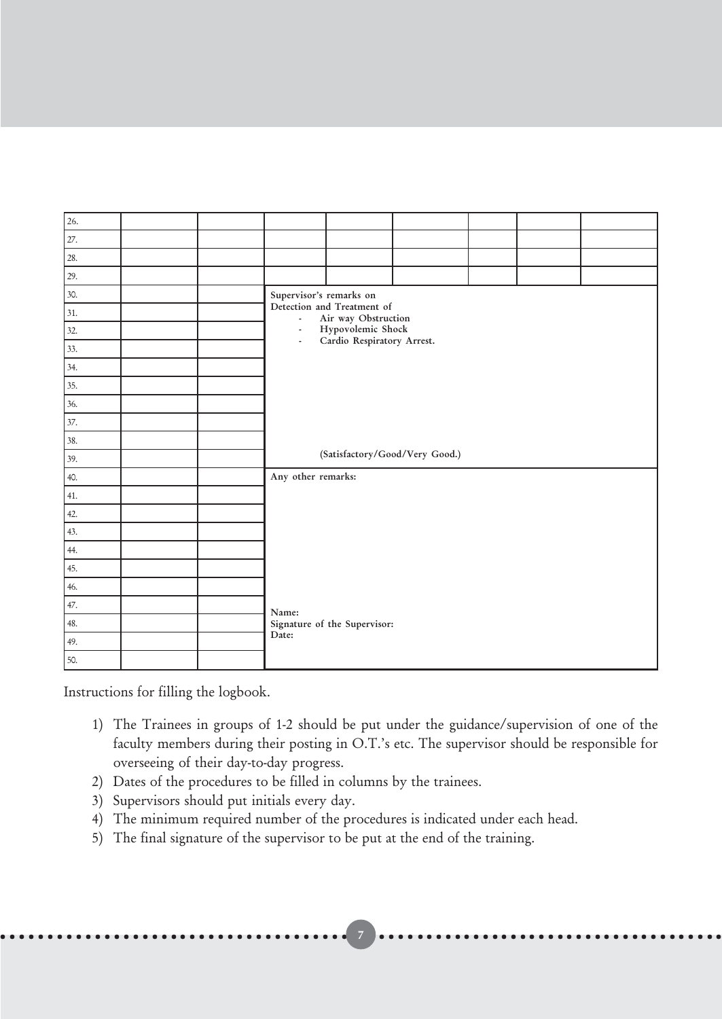| 26. |  |                         |                                                   |                                |  |  |  |
|-----|--|-------------------------|---------------------------------------------------|--------------------------------|--|--|--|
| 27. |  |                         |                                                   |                                |  |  |  |
| 28. |  |                         |                                                   |                                |  |  |  |
| 29. |  |                         |                                                   |                                |  |  |  |
| 30. |  | Supervisor's remarks on |                                                   |                                |  |  |  |
| 31. |  | $\sim$                  | Detection and Treatment of<br>Air way Obstruction |                                |  |  |  |
| 32. |  | $\blacksquare$          | Hypovolemic Shock<br>Cardio Respiratory Arrest.   |                                |  |  |  |
| 33. |  | $\blacksquare$          |                                                   |                                |  |  |  |
| 34. |  |                         |                                                   |                                |  |  |  |
| 35. |  |                         |                                                   |                                |  |  |  |
| 36. |  |                         |                                                   |                                |  |  |  |
| 37. |  |                         |                                                   |                                |  |  |  |
| 38. |  |                         |                                                   |                                |  |  |  |
| 39. |  |                         |                                                   | (Satisfactory/Good/Very Good.) |  |  |  |
| 40. |  | Any other remarks:      |                                                   |                                |  |  |  |
| 41. |  |                         |                                                   |                                |  |  |  |
| 42. |  |                         |                                                   |                                |  |  |  |
| 43. |  |                         |                                                   |                                |  |  |  |
| 44. |  |                         |                                                   |                                |  |  |  |
| 45. |  |                         |                                                   |                                |  |  |  |
| 46. |  |                         |                                                   |                                |  |  |  |
| 47. |  | Name:                   |                                                   |                                |  |  |  |
| 48. |  |                         | Signature of the Supervisor:                      |                                |  |  |  |
| 49. |  | Date:                   |                                                   |                                |  |  |  |
| 50. |  |                         |                                                   |                                |  |  |  |

Instructions for filling the logbook.

1) The Trainees in groups of 1-2 should be put under the guidance/supervision of one of the faculty members during their posting in O.T.'s etc. The supervisor should be responsible for overseeing of their day-to-day progress.

○○○○○○○○○○○○○○○○○○○○○○○○○○○○○○○○○○○○○○○○○○○○ 7 ○○○○○○○○○○○○○○○○○○○○○○○○○○○○○○○○○

- 2) Dates of the procedures to be filled in columns by the trainees.
- 3) Supervisors should put initials every day.
- 4) The minimum required number of the procedures is indicated under each head.
- 5) The final signature of the supervisor to be put at the end of the training.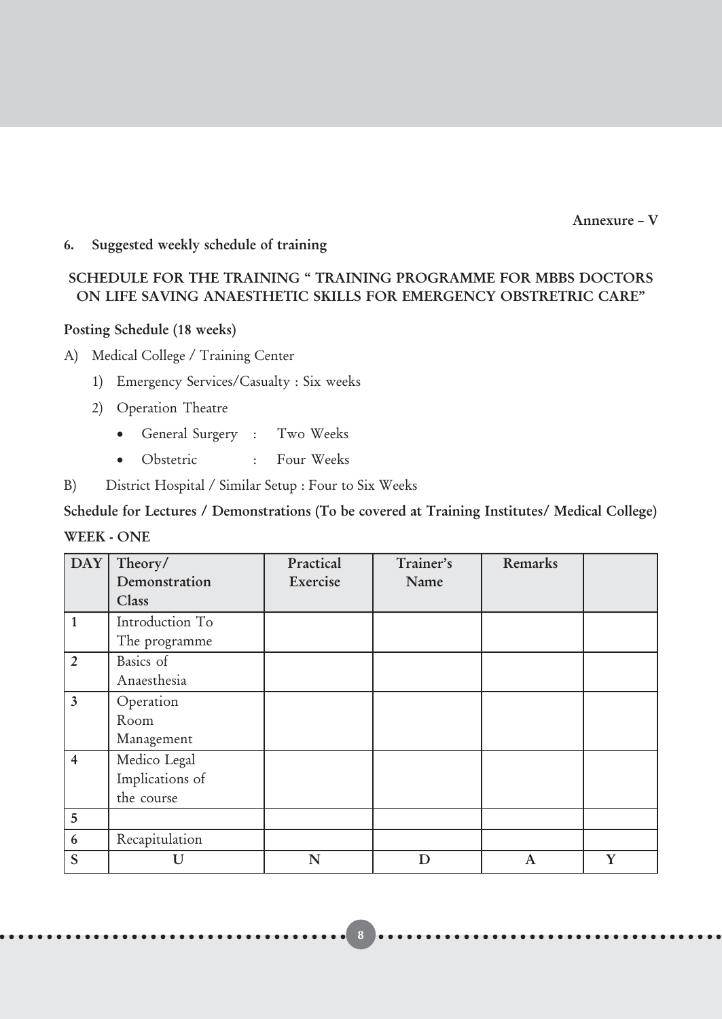Annexure – V

#### 6. Suggested weekly schedule of training

#### SCHEDULE FOR THE TRAINING " TRAINING PROGRAMME FOR MBBS DOCTORS ON LIFE SAVING ANAESTHETIC SKILLS FOR EMERGENCY OBSTRETRIC CARE"

#### Posting Schedule (18 weeks)

A) Medical College / Training Center

- 1) Emergency Services/Casualty : Six weeks
- 2) Operation Theatre
	- General Surgery : Two Weeks
	- Obstetric : Four Weeks
- B) District Hospital / Similar Setup : Four to Six Weeks

Schedule for Lectures / Demonstrations (To be covered at Training Institutes/ Medical College) WEEK - ONE

| $\overline{\text{DAY}}$ | Theory/         | Practical | Trainer's | Remarks     |   |
|-------------------------|-----------------|-----------|-----------|-------------|---|
|                         | Demonstration   | Exercise  | Name      |             |   |
|                         | Class           |           |           |             |   |
| 1                       | Introduction To |           |           |             |   |
|                         | The programme   |           |           |             |   |
| $\overline{2}$          | Basics of       |           |           |             |   |
|                         | Anaesthesia     |           |           |             |   |
| $\overline{3}$          | Operation       |           |           |             |   |
|                         | Room            |           |           |             |   |
|                         | Management      |           |           |             |   |
| $\overline{\mathbf{4}}$ | Medico Legal    |           |           |             |   |
|                         | Implications of |           |           |             |   |
|                         | the course      |           |           |             |   |
| 5                       |                 |           |           |             |   |
| $\boldsymbol{6}$        | Recapitulation  |           |           |             |   |
| S                       | U               | N         | D         | $\mathbf A$ | Y |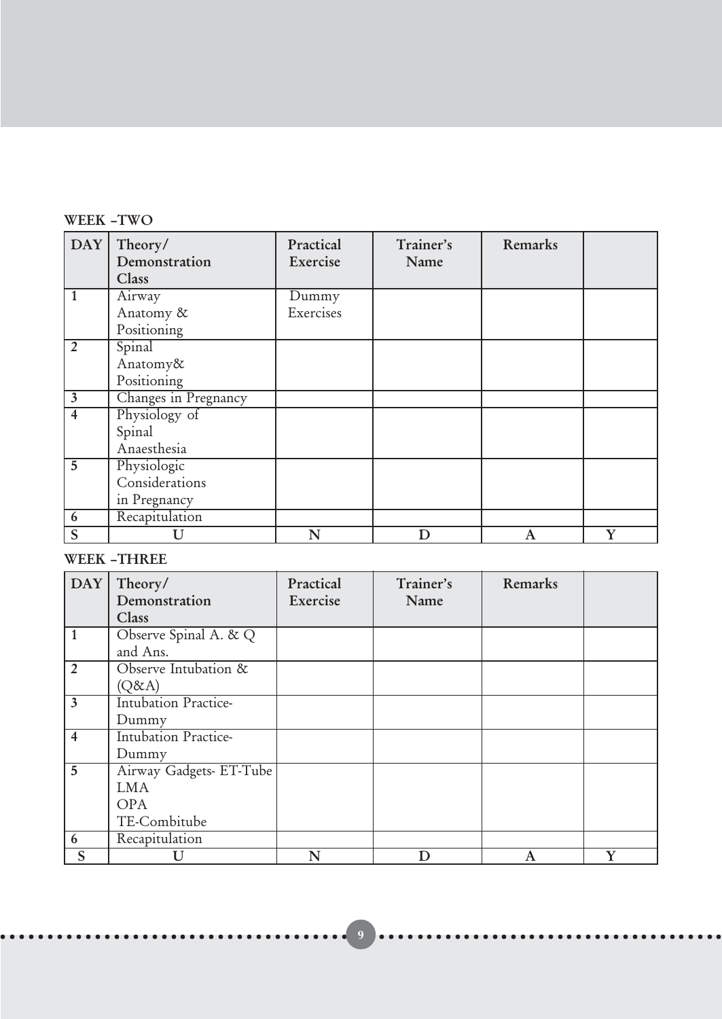#### WEEK –TWO

| <b>DAY</b>     | Theory/              | Practical | Trainer's | Remarks          |   |
|----------------|----------------------|-----------|-----------|------------------|---|
|                | Demonstration        | Exercise  | Name      |                  |   |
|                | Class                |           |           |                  |   |
|                | Airway               | Dummy     |           |                  |   |
|                | Anatomy &            | Exercises |           |                  |   |
|                | Positioning          |           |           |                  |   |
| $\overline{2}$ | Spinal               |           |           |                  |   |
|                | Anatomy&             |           |           |                  |   |
|                | Positioning          |           |           |                  |   |
| $\mathbf{3}$   | Changes in Pregnancy |           |           |                  |   |
| $\overline{4}$ | Physiology of        |           |           |                  |   |
|                | Spinal               |           |           |                  |   |
|                | Anaesthesia          |           |           |                  |   |
| 5              | Physiologic          |           |           |                  |   |
|                | Considerations       |           |           |                  |   |
|                | in Pregnancy         |           |           |                  |   |
| 6              | Recapitulation       |           |           |                  |   |
| S              | U                    | N         | D         | $\boldsymbol{A}$ | Y |

#### WEEK –THREE

| <b>DAY</b>              | Theory/                     | Practical | Trainer's | Remarks |   |
|-------------------------|-----------------------------|-----------|-----------|---------|---|
|                         | Demonstration               | Exercise  | Name      |         |   |
|                         | Class                       |           |           |         |   |
| $\mathbf{1}$            | Observe Spinal A. & Q       |           |           |         |   |
|                         | and Ans.                    |           |           |         |   |
| $\overline{2}$          | Observe Intubation &        |           |           |         |   |
|                         | (Q&A)                       |           |           |         |   |
| $\overline{\mathbf{3}}$ | Intubation Practice-        |           |           |         |   |
|                         | Dummy                       |           |           |         |   |
| $\overline{4}$          | <b>Intubation Practice-</b> |           |           |         |   |
|                         | Dummy                       |           |           |         |   |
| 5                       | Airway Gadgets- ET-Tube     |           |           |         |   |
|                         | <b>LMA</b>                  |           |           |         |   |
|                         | <b>OPA</b>                  |           |           |         |   |
|                         | TE-Combitube                |           |           |         |   |
| 6                       | Recapitulation              |           |           |         |   |
| S                       | U                           | N         | D         | A       | Y |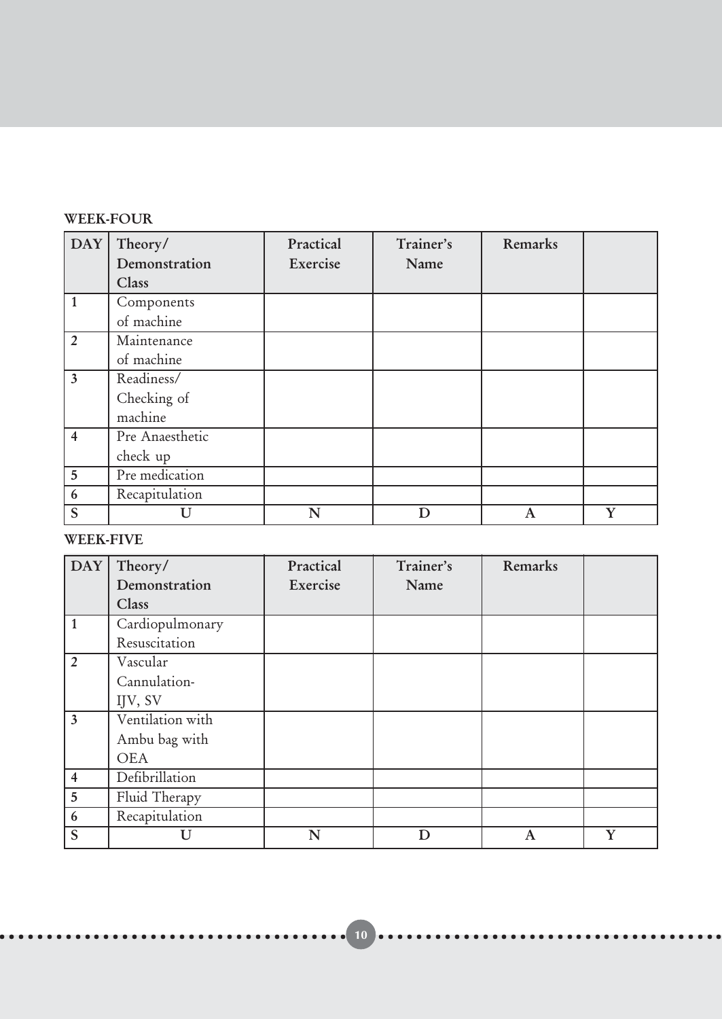#### WEEK-FOUR

| <b>DAY</b>              | Theory/         | Practical | Trainer's | Remarks                   |             |
|-------------------------|-----------------|-----------|-----------|---------------------------|-------------|
|                         | Demonstration   | Exercise  | Name      |                           |             |
|                         | Class           |           |           |                           |             |
| $\mathbf{1}$            | Components      |           |           |                           |             |
|                         | of machine      |           |           |                           |             |
| $\overline{2}$          | Maintenance     |           |           |                           |             |
|                         | of machine      |           |           |                           |             |
| $\overline{\mathbf{3}}$ | Readiness/      |           |           |                           |             |
|                         | Checking of     |           |           |                           |             |
|                         | machine         |           |           |                           |             |
| $\overline{4}$          | Pre Anaesthetic |           |           |                           |             |
|                         | check up        |           |           |                           |             |
| 5                       | Pre medication  |           |           |                           |             |
| 6                       | Recapitulation  |           |           |                           |             |
| S                       | U               | N         | D         | $\boldsymbol{\mathrm{A}}$ | $\mathbf v$ |

#### WEEK-FIVE

| DAY                     | Theory/          | Practical | Trainer's | Remarks |  |
|-------------------------|------------------|-----------|-----------|---------|--|
|                         | Demonstration    | Exercise  | Name      |         |  |
|                         | Class            |           |           |         |  |
| $\mathbf{1}$            | Cardiopulmonary  |           |           |         |  |
|                         | Resuscitation    |           |           |         |  |
| $\overline{2}$          | Vascular         |           |           |         |  |
|                         | Cannulation-     |           |           |         |  |
|                         | IJV, SV          |           |           |         |  |
| $\overline{3}$          | Ventilation with |           |           |         |  |
|                         | Ambu bag with    |           |           |         |  |
|                         | <b>OEA</b>       |           |           |         |  |
| $\overline{\mathbf{4}}$ | Defibrillation   |           |           |         |  |
| $5\overline{)}$         | Fluid Therapy    |           |           |         |  |
| 6                       | Recapitulation   |           |           |         |  |
| S                       |                  | N         |           | A       |  |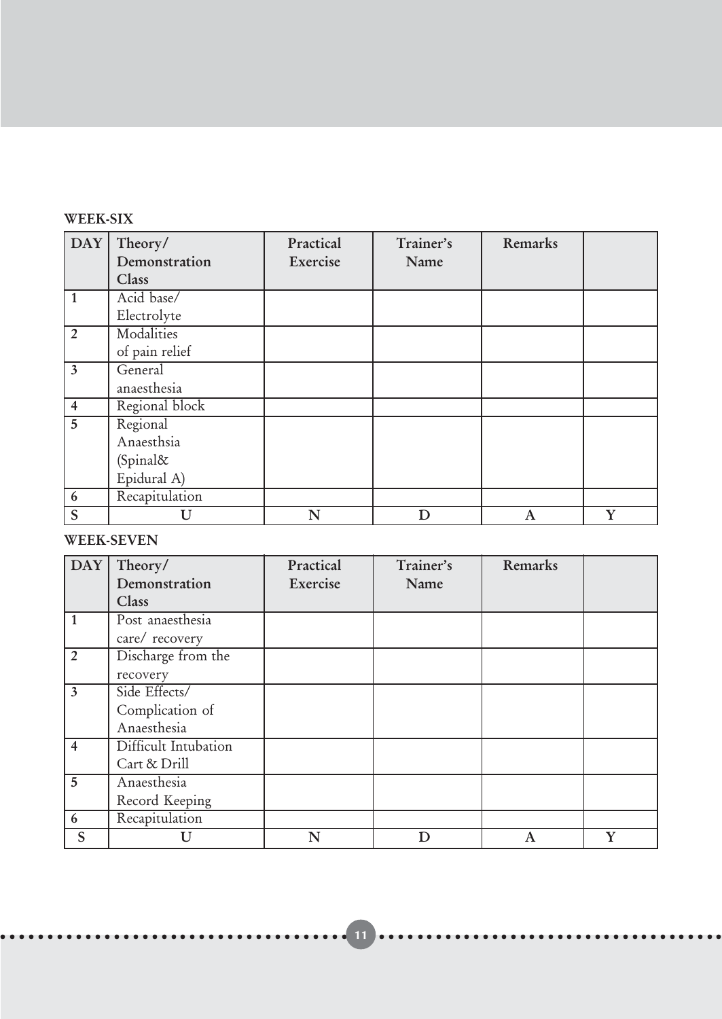#### WEEK-SIX

| <b>DAY</b>       | Theory/<br>Demonstration<br>Class | Practical<br>Exercise | Trainer's<br>Name | Remarks      |   |
|------------------|-----------------------------------|-----------------------|-------------------|--------------|---|
| $\mathbf{1}$     | Acid base/                        |                       |                   |              |   |
|                  | Electrolyte                       |                       |                   |              |   |
| $\overline{2}$   | Modalities                        |                       |                   |              |   |
|                  | of pain relief                    |                       |                   |              |   |
| $\overline{3}$   | General                           |                       |                   |              |   |
|                  | anaesthesia                       |                       |                   |              |   |
| $\overline{4}$   | Regional block                    |                       |                   |              |   |
| 5                | Regional                          |                       |                   |              |   |
|                  | Anaesthsia                        |                       |                   |              |   |
|                  | (Spinal&                          |                       |                   |              |   |
|                  | Epidural A)                       |                       |                   |              |   |
| $\boldsymbol{6}$ | Recapitulation                    |                       |                   |              |   |
| S                | U                                 | N                     | D                 | $\mathbf{A}$ | Y |

#### WEEK-SEVEN

| <b>DAY</b>              | Theory/              | Practical | Trainer's | Remarks     |             |
|-------------------------|----------------------|-----------|-----------|-------------|-------------|
|                         | Demonstration        | Exercise  | Name      |             |             |
|                         | <b>Class</b>         |           |           |             |             |
| 1                       | Post anaesthesia     |           |           |             |             |
|                         | care/ recovery       |           |           |             |             |
| $\overline{2}$          | Discharge from the   |           |           |             |             |
|                         | recovery             |           |           |             |             |
| $\overline{\mathbf{3}}$ | Side Effects/        |           |           |             |             |
|                         | Complication of      |           |           |             |             |
|                         | Anaesthesia          |           |           |             |             |
| $\overline{4}$          | Difficult Intubation |           |           |             |             |
|                         | Cart & Drill         |           |           |             |             |
| $\overline{5}$          | Anaesthesia          |           |           |             |             |
|                         | Record Keeping       |           |           |             |             |
| 6                       | Recapitulation       |           |           |             |             |
| S                       |                      | N         | D         | $\mathbf A$ | $\mathbf v$ |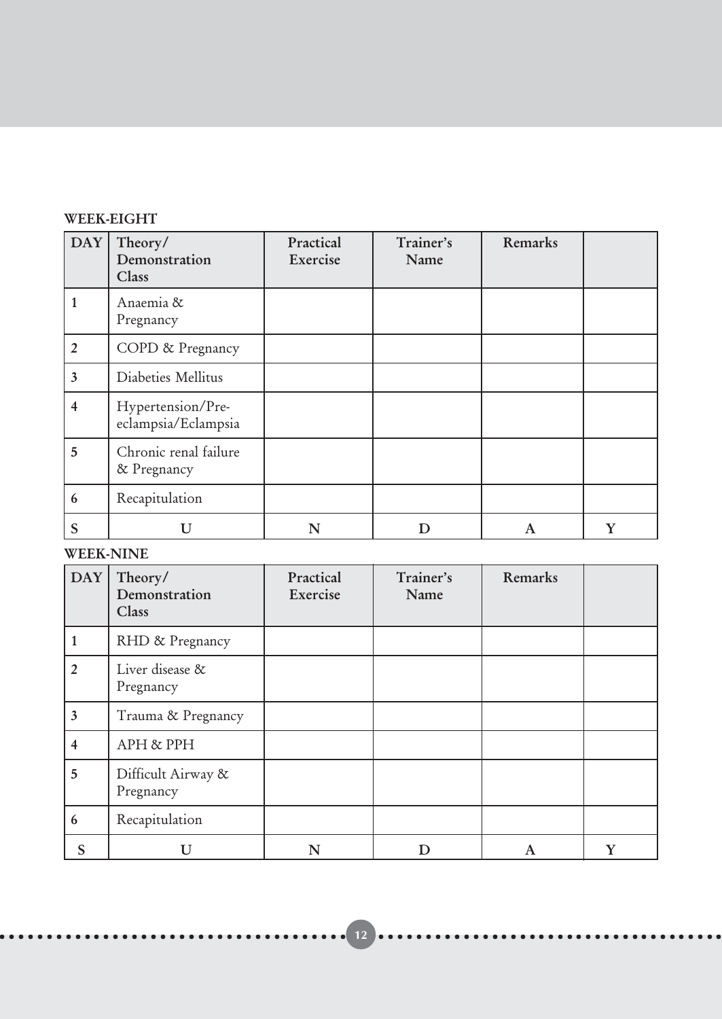#### WEEK-EIGHT

| <b>DAY</b>              | Theory/<br>Demonstration<br>Class        | Practical<br>Exercise | Trainer's<br>Name | Remarks |  |
|-------------------------|------------------------------------------|-----------------------|-------------------|---------|--|
|                         | Anaemia &<br>Pregnancy                   |                       |                   |         |  |
| $\overline{2}$          | COPD & Pregnancy                         |                       |                   |         |  |
| $\overline{\mathbf{3}}$ | Diabeties Mellitus                       |                       |                   |         |  |
| 4                       | Hypertension/Pre-<br>eclampsia/Eclampsia |                       |                   |         |  |
| 5                       | Chronic renal failure<br>& Pregnancy     |                       |                   |         |  |
| 6                       | Recapitulation                           |                       |                   |         |  |
| S                       | I I                                      | N                     | D                 | A       |  |

#### WEEK-NINE

| <b>DAY</b>              | Theory/<br>Demonstration<br>Class | Practical<br>Exercise | Trainer's<br>Name | Remarks |  |
|-------------------------|-----------------------------------|-----------------------|-------------------|---------|--|
|                         | RHD & Pregnancy                   |                       |                   |         |  |
| $\overline{2}$          | Liver disease &<br>Pregnancy      |                       |                   |         |  |
| $\overline{\mathbf{3}}$ | Trauma & Pregnancy                |                       |                   |         |  |
| 4                       | APH & PPH                         |                       |                   |         |  |
| 5                       | Difficult Airway &<br>Pregnancy   |                       |                   |         |  |
| 6                       | Recapitulation                    |                       |                   |         |  |
| S                       | TΤ                                | N                     |                   | A       |  |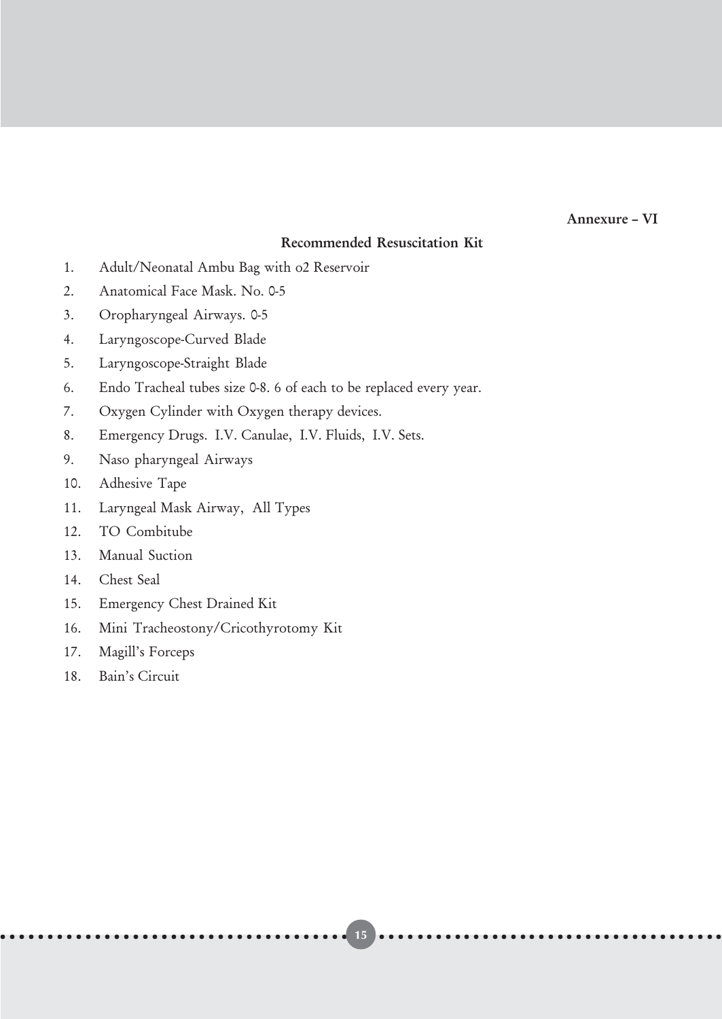#### Annexure – VI

#### Recommended Resuscitation Kit

- 1. Adult/Neonatal Ambu Bag with o2 Reservoir
- 2. Anatomical Face Mask. No. 0-5
- 3. Oropharyngeal Airways. 0-5
- 4. Laryngoscope-Curved Blade
- 5. Laryngoscope-Straight Blade
- 6. Endo Tracheal tubes size 0-8. 6 of each to be replaced every year.
- 7. Oxygen Cylinder with Oxygen therapy devices.
- 8. Emergency Drugs. I.V. Canulae, I.V. Fluids, I.V. Sets.
- 9. Naso pharyngeal Airways
- 10. Adhesive Tape
- 11. Laryngeal Mask Airway, All Types
- 12. TO Combitube
- 13. Manual Suction
- 14. Chest Seal
- 15. Emergency Chest Drained Kit
- 16. Mini Tracheostony/Cricothyrotomy Kit
- 17. Magill's Forceps
- 18. Bain's Circuit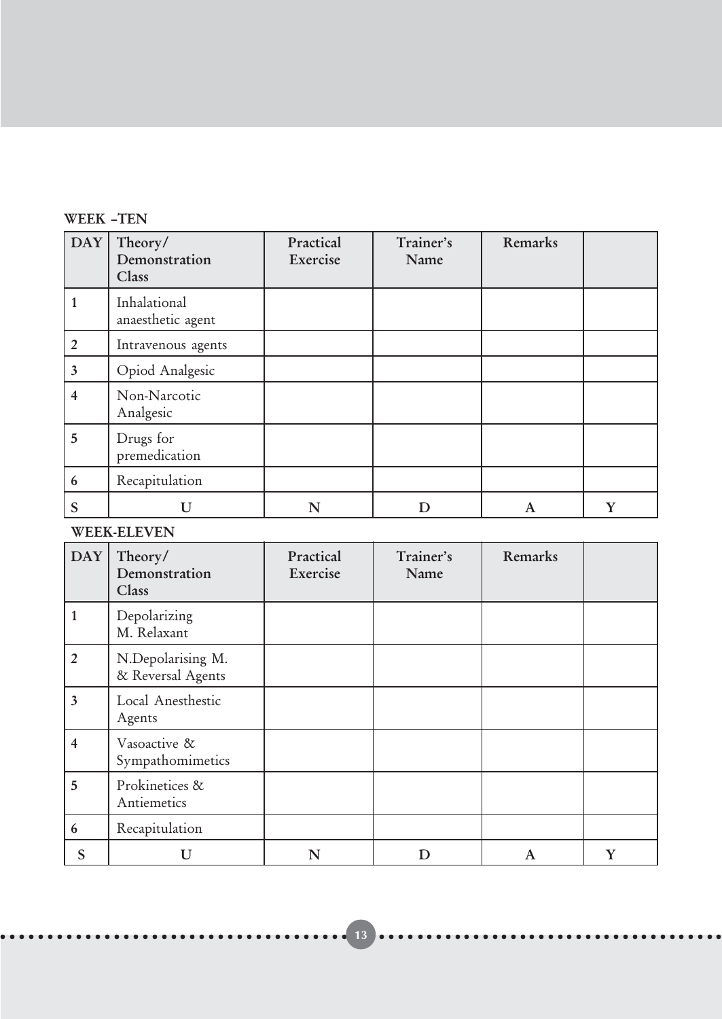#### WEEK –TEN

| <b>DAY</b>              | Theory/<br>Demonstration<br>Class | Practical<br>Exercise | Trainer's<br>Name | Remarks |   |
|-------------------------|-----------------------------------|-----------------------|-------------------|---------|---|
|                         | Inhalational<br>anaesthetic agent |                       |                   |         |   |
| $\overline{2}$          | Intravenous agents                |                       |                   |         |   |
| $\overline{\mathbf{3}}$ | Opiod Analgesic                   |                       |                   |         |   |
| 4                       | Non-Narcotic<br>Analgesic         |                       |                   |         |   |
| 5                       | Drugs for<br>premedication        |                       |                   |         |   |
| 6                       | Recapitulation                    |                       |                   |         |   |
| S                       | U                                 | N                     |                   | A       | Y |

#### WEEK-ELEVEN

| DAY                     | Theory/<br>Demonstration<br>Class      | Practical<br>Exercise | Trainer's<br>Name | Remarks |   |
|-------------------------|----------------------------------------|-----------------------|-------------------|---------|---|
| 1                       | Depolarizing<br>M. Relaxant            |                       |                   |         |   |
| $\overline{2}$          | N.Depolarising M.<br>& Reversal Agents |                       |                   |         |   |
| $\overline{\mathbf{3}}$ | Local Anesthestic<br>Agents            |                       |                   |         |   |
| $\overline{4}$          | Vasoactive &<br>Sympathomimetics       |                       |                   |         |   |
| 5                       | Prokinetices &<br>Antiemetics          |                       |                   |         |   |
| 6                       | Recapitulation                         |                       |                   |         |   |
| S                       | I J                                    | N                     |                   | A       | Y |